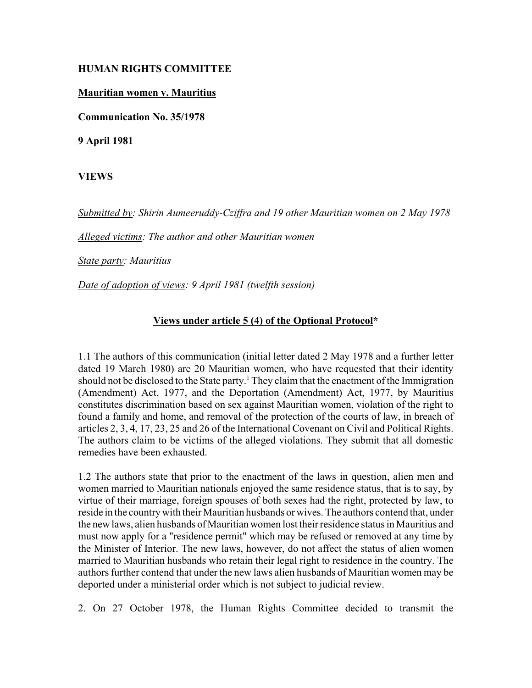## **HUMAN RIGHTS COMMITTEE**

## **Mauritian women v. Mauritius**

**Communication No. 35/1978**

**9 April 1981**

**VIEWS**

*Submitted by: Shirin Aumeeruddy-Cziffra and 19 other Mauritian women on 2 May 1978*

*Alleged victims: The author and other Mauritian women* 

*State party: Mauritius* 

*Date of adoption of views: 9 April 1981 (twelfth session)* 

## **Views under article 5 (4) of the Optional Protocol\***

1.1 The authors of this communication (initial letter dated 2 May 1978 and a further letter dated 19 March 1980) are 20 Mauritian women, who have requested that their identity should not be disclosed to the State party.<sup>1</sup> They claim that the enactment of the Immigration (Amendment) Act, 1977, and the Deportation (Amendment) Act, 1977, by Mauritius constitutes discrimination based on sex against Mauritian women, violation of the right to found a family and home, and removal of the protection of the courts of law, in breach of articles 2, 3, 4, 17, 23, 25 and 26 of the International Covenant on Civil and Political Rights. The authors claim to be victims of the alleged violations. They submit that all domestic remedies have been exhausted.

1.2 The authors state that prior to the enactment of the laws in question, alien men and women married to Mauritian nationals enjoyed the same residence status, that is to say, by virtue of their marriage, foreign spouses of both sexes had the right, protected by law, to reside in the country with their Mauritian husbands or wives. The authors contend that, under the new laws, alien husbands of Mauritian women lost their residence status in Mauritius and must now apply for a "residence permit" which may be refused or removed at any time by the Minister of Interior. The new laws, however, do not affect the status of alien women married to Mauritian husbands who retain their legal right to residence in the country. The authors further contend that under the new laws alien husbands of Mauritian women may be deported under a ministerial order which is not subject to judicial review.

2. On 27 October 1978, the Human Rights Committee decided to transmit the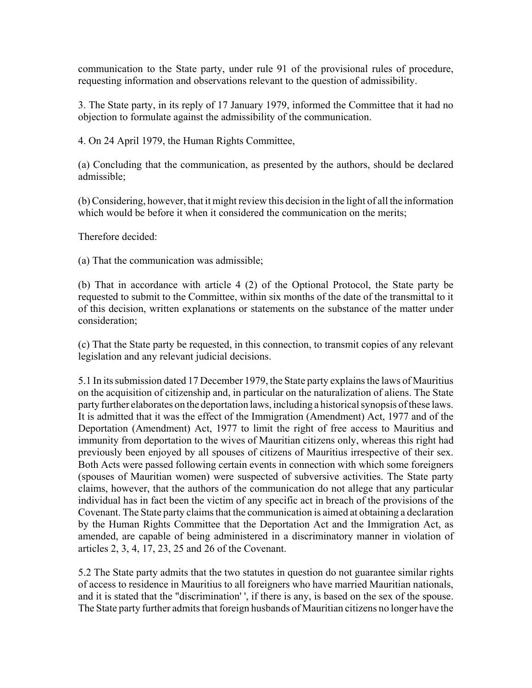communication to the State party, under rule 91 of the provisional rules of procedure, requesting information and observations relevant to the question of admissibility.

3. The State party, in its reply of 17 January 1979, informed the Committee that it had no objection to formulate against the admissibility of the communication.

4. On 24 April 1979, the Human Rights Committee,

(a) Concluding that the communication, as presented by the authors, should be declared admissible;

(b) Considering, however, that it might review this decision in the light of all the information which would be before it when it considered the communication on the merits:

Therefore decided:

(a) That the communication was admissible;

(b) That in accordance with article 4 (2) of the Optional Protocol, the State party be requested to submit to the Committee, within six months of the date of the transmittal to it of this decision, written explanations or statements on the substance of the matter under consideration;

(c) That the State party be requested, in this connection, to transmit copies of any relevant legislation and any relevant judicial decisions.

5.1 In its submission dated 17 December 1979, the State party explains the laws of Mauritius on the acquisition of citizenship and, in particular on the naturalization of aliens. The State party further elaborates on the deportation laws, including a historical synopsis of these laws. It is admitted that it was the effect of the Immigration (Amendment) Act, 1977 and of the Deportation (Amendment) Act, 1977 to limit the right of free access to Mauritius and immunity from deportation to the wives of Mauritian citizens only, whereas this right had previously been enjoyed by all spouses of citizens of Mauritius irrespective of their sex. Both Acts were passed following certain events in connection with which some foreigners (spouses of Mauritian women) were suspected of subversive activities. The State party claims, however, that the authors of the communication do not allege that any particular individual has in fact been the victim of any specific act in breach of the provisions of the Covenant. The State party claims that the communication is aimed at obtaining a declaration by the Human Rights Committee that the Deportation Act and the Immigration Act, as amended, are capable of being administered in a discriminatory manner in violation of articles 2, 3, 4, 17, 23, 25 and 26 of the Covenant.

5.2 The State party admits that the two statutes in question do not guarantee similar rights of access to residence in Mauritius to all foreigners who have married Mauritian nationals, and it is stated that the "discrimination' ', if there is any, is based on the sex of the spouse. The State party further admits that foreign husbands of Mauritian citizens no longer have the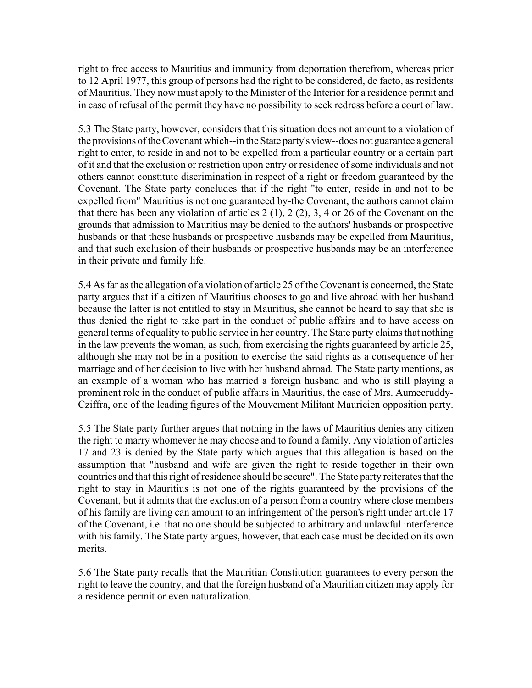right to free access to Mauritius and immunity from deportation therefrom, whereas prior to 12 April 1977, this group of persons had the right to be considered, de facto, as residents of Mauritius. They now must apply to the Minister of the Interior for a residence permit and in case of refusal of the permit they have no possibility to seek redress before a court of law.

5.3 The State party, however, considers that this situation does not amount to a violation of the provisions of the Covenant which--in the State party's view--does not guarantee a general right to enter, to reside in and not to be expelled from a particular country or a certain part of it and that the exclusion or restriction upon entry or residence of some individuals and not others cannot constitute discrimination in respect of a right or freedom guaranteed by the Covenant. The State party concludes that if the right "to enter, reside in and not to be expelled from" Mauritius is not one guaranteed by-the Covenant, the authors cannot claim that there has been any violation of articles 2 (1), 2 (2), 3, 4 or 26 of the Covenant on the grounds that admission to Mauritius may be denied to the authors' husbands or prospective husbands or that these husbands or prospective husbands may be expelled from Mauritius, and that such exclusion of their husbands or prospective husbands may be an interference in their private and family life.

5.4 As far as the allegation of a violation of article 25 of the Covenant is concerned, the State party argues that if a citizen of Mauritius chooses to go and live abroad with her husband because the latter is not entitled to stay in Mauritius, she cannot be heard to say that she is thus denied the right to take part in the conduct of public affairs and to have access on general terms of equality to public service in her country. The State party claims that nothing in the law prevents the woman, as such, from exercising the rights guaranteed by article 25, although she may not be in a position to exercise the said rights as a consequence of her marriage and of her decision to live with her husband abroad. The State party mentions, as an example of a woman who has married a foreign husband and who is still playing a prominent role in the conduct of public affairs in Mauritius, the case of Mrs. Aumeeruddy-Cziffra, one of the leading figures of the Mouvement Militant Mauricien opposition party.

5.5 The State party further argues that nothing in the laws of Mauritius denies any citizen the right to marry whomever he may choose and to found a family. Any violation of articles 17 and 23 is denied by the State party which argues that this allegation is based on the assumption that "husband and wife are given the right to reside together in their own countries and that this right of residence should be secure". The State party reiterates that the right to stay in Mauritius is not one of the rights guaranteed by the provisions of the Covenant, but it admits that the exclusion of a person from a country where close members of his family are living can amount to an infringement of the person's right under article 17 of the Covenant, i.e. that no one should be subjected to arbitrary and unlawful interference with his family. The State party argues, however, that each case must be decided on its own merits.

5.6 The State party recalls that the Mauritian Constitution guarantees to every person the right to leave the country, and that the foreign husband of a Mauritian citizen may apply for a residence permit or even naturalization.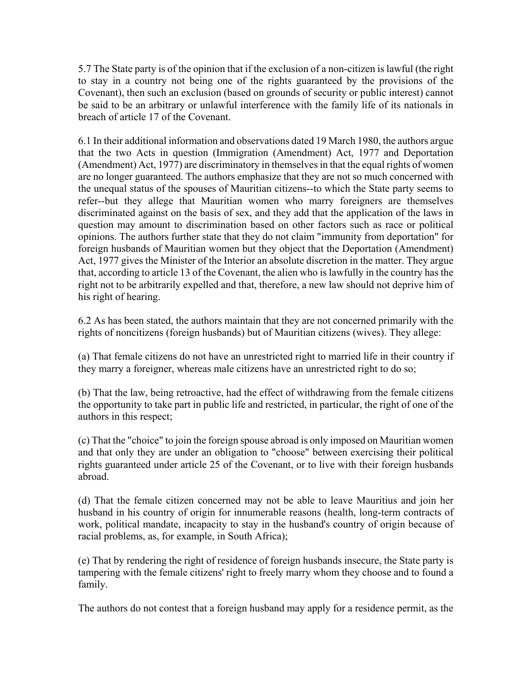5.7 The State party is of the opinion that if the exclusion of a non-citizen is lawful (the right to stay in a country not being one of the rights guaranteed by the provisions of the Covenant), then such an exclusion (based on grounds of security or public interest) cannot be said to be an arbitrary or unlawful interference with the family life of its nationals in breach of article 17 of the Covenant.

6.1 In their additional information and observations dated 19 March 1980, the authors argue that the two Acts in question (Immigration (Amendment) Act, 1977 and Deportation (Amendment) Act, 1977) are discriminatory in themselves in that the equal rights of women are no longer guaranteed. The authors emphasize that they are not so much concerned with the unequal status of the spouses of Mauritian citizens--to which the State party seems to refer--but they allege that Mauritian women who marry foreigners are themselves discriminated against on the basis of sex, and they add that the application of the laws in question may amount to discrimination based on other factors such as race or political opinions. The authors further state that they do not claim "immunity from deportation" for foreign husbands of Mauritian women but they object that the Deportation (Amendment) Act, 1977 gives the Minister of the Interior an absolute discretion in the matter. They argue that, according to article 13 of the Covenant, the alien who is lawfully in the country has the right not to be arbitrarily expelled and that, therefore, a new law should not deprive him of his right of hearing.

6.2 As has been stated, the authors maintain that they are not concerned primarily with the rights of noncitizens (foreign husbands) but of Mauritian citizens (wives). They allege:

(a) That female citizens do not have an unrestricted right to married life in their country if they marry a foreigner, whereas male citizens have an unrestricted right to do so;

(b) That the law, being retroactive, had the effect of withdrawing from the female citizens the opportunity to take part in public life and restricted, in particular, the right of one of the authors in this respect;

(c) That the "choice" to join the foreign spouse abroad is only imposed on Mauritian women and that only they are under an obligation to "choose" between exercising their political rights guaranteed under article 25 of the Covenant, or to live with their foreign husbands abroad.

(d) That the female citizen concerned may not be able to leave Mauritius and join her husband in his country of origin for innumerable reasons (health, long-term contracts of work, political mandate, incapacity to stay in the husband's country of origin because of racial problems, as, for example, in South Africa);

(e) That by rendering the right of residence of foreign husbands insecure, the State party is tampering with the female citizens' right to freely marry whom they choose and to found a family.

The authors do not contest that a foreign husband may apply for a residence permit, as the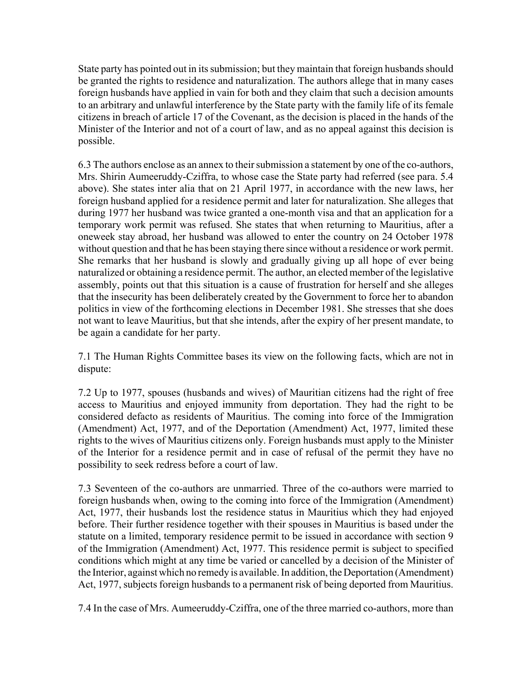State party has pointed out in its submission; but they maintain that foreign husbands should be granted the rights to residence and naturalization. The authors allege that in many cases foreign husbands have applied in vain for both and they claim that such a decision amounts to an arbitrary and unlawful interference by the State party with the family life of its female citizens in breach of article 17 of the Covenant, as the decision is placed in the hands of the Minister of the Interior and not of a court of law, and as no appeal against this decision is possible.

6.3 The authors enclose as an annex to their submission a statement by one of the co-authors, Mrs. Shirin Aumeeruddy-Cziffra, to whose case the State party had referred (see para. 5.4 above). She states inter alia that on 21 April 1977, in accordance with the new laws, her foreign husband applied for a residence permit and later for naturalization. She alleges that during 1977 her husband was twice granted a one-month visa and that an application for a temporary work permit was refused. She states that when returning to Mauritius, after a oneweek stay abroad, her husband was allowed to enter the country on 24 October 1978 without question and that he has been staying there since without a residence or work permit. She remarks that her husband is slowly and gradually giving up all hope of ever being naturalized or obtaining a residence permit. The author, an elected member of the legislative assembly, points out that this situation is a cause of frustration for herself and she alleges that the insecurity has been deliberately created by the Government to force her to abandon politics in view of the forthcoming elections in December 1981. She stresses that she does not want to leave Mauritius, but that she intends, after the expiry of her present mandate, to be again a candidate for her party.

7.1 The Human Rights Committee bases its view on the following facts, which are not in dispute:

7.2 Up to 1977, spouses (husbands and wives) of Mauritian citizens had the right of free access to Mauritius and enjoyed immunity from deportation. They had the right to be considered defacto as residents of Mauritius. The coming into force of the Immigration (Amendment) Act, 1977, and of the Deportation (Amendment) Act, 1977, limited these rights to the wives of Mauritius citizens only. Foreign husbands must apply to the Minister of the Interior for a residence permit and in case of refusal of the permit they have no possibility to seek redress before a court of law.

7.3 Seventeen of the co-authors are unmarried. Three of the co-authors were married to foreign husbands when, owing to the coming into force of the Immigration (Amendment) Act, 1977, their husbands lost the residence status in Mauritius which they had enjoyed before. Their further residence together with their spouses in Mauritius is based under the statute on a limited, temporary residence permit to be issued in accordance with section 9 of the Immigration (Amendment) Act, 1977. This residence permit is subject to specified conditions which might at any time be varied or cancelled by a decision of the Minister of the Interior, against which no remedy is available. In addition, the Deportation (Amendment) Act, 1977, subjects foreign husbands to a permanent risk of being deported from Mauritius.

7.4 In the case of Mrs. Aumeeruddy-Cziffra, one of the three married co-authors, more than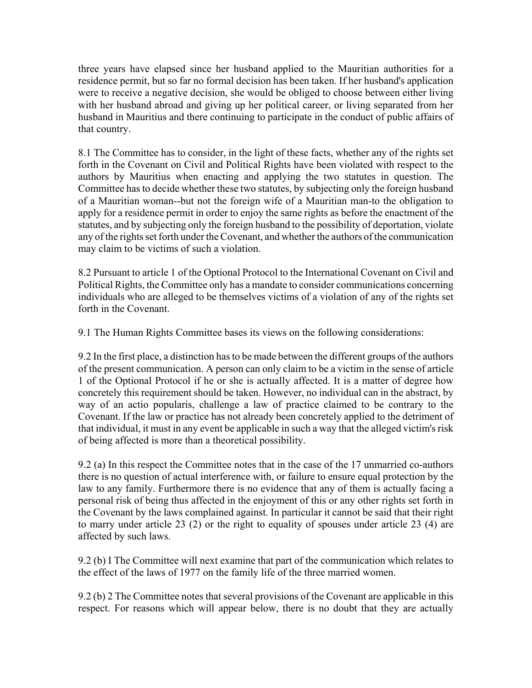three years have elapsed since her husband applied to the Mauritian authorities for a residence permit, but so far no formal decision has been taken. If her husband's application were to receive a negative decision, she would be obliged to choose between either living with her husband abroad and giving up her political career, or living separated from her husband in Mauritius and there continuing to participate in the conduct of public affairs of that country.

8.1 The Committee has to consider, in the light of these facts, whether any of the rights set forth in the Covenant on Civil and Political Rights have been violated with respect to the authors by Mauritius when enacting and applying the two statutes in question. The Committee has to decide whether these two statutes, by subjecting only the foreign husband of a Mauritian woman--but not the foreign wife of a Mauritian man-to the obligation to apply for a residence permit in order to enjoy the same rights as before the enactment of the statutes, and by subjecting only the foreign husband to the possibility of deportation, violate any of the rights set forth under the Covenant, and whether the authors of the communication may claim to be victims of such a violation.

8.2 Pursuant to article 1 of the Optional Protocol to the International Covenant on Civil and Political Rights, the Committee only has a mandate to consider communications concerning individuals who are alleged to be themselves victims of a violation of any of the rights set forth in the Covenant.

9.1 The Human Rights Committee bases its views on the following considerations:

9.2 In the first place, a distinction has to be made between the different groups of the authors of the present communication. A person can only claim to be a victim in the sense of article 1 of the Optional Protocol if he or she is actually affected. It is a matter of degree how concretely this requirement should be taken. However, no individual can in the abstract, by way of an actio popularis, challenge a law of practice claimed to be contrary to the Covenant. If the law or practice has not already been concretely applied to the detriment of that individual, it must in any event be applicable in such a way that the alleged victim's risk of being affected is more than a theoretical possibility.

9.2 (a) In this respect the Committee notes that in the case of the 17 unmarried co-authors there is no question of actual interference with, or failure to ensure equal protection by the law to any family. Furthermore there is no evidence that any of them is actually facing a personal risk of being thus affected in the enjoyment of this or any other rights set forth in the Covenant by the laws complained against. In particular it cannot be said that their right to marry under article 23 (2) or the right to equality of spouses under article 23 (4) are affected by such laws.

9.2 (b) I The Committee will next examine that part of the communication which relates to the effect of the laws of 1977 on the family life of the three married women.

9.2 (b) 2 The Committee notes that several provisions of the Covenant are applicable in this respect. For reasons which will appear below, there is no doubt that they are actually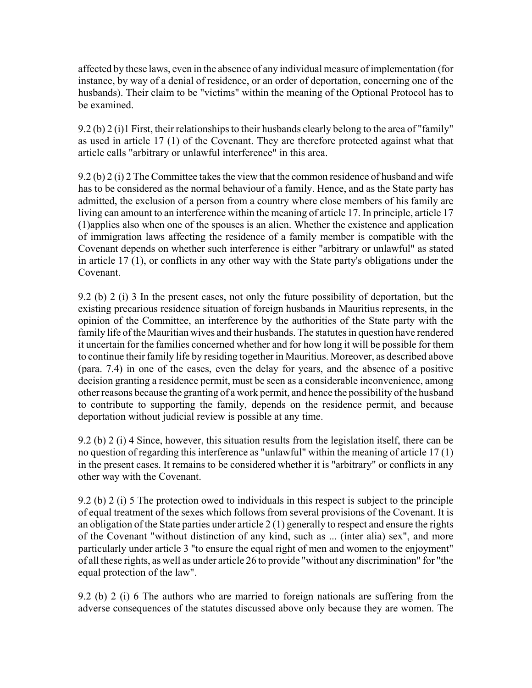affected by these laws, even in the absence of any individual measure of implementation (for instance, by way of a denial of residence, or an order of deportation, concerning one of the husbands). Their claim to be "victims" within the meaning of the Optional Protocol has to be examined.

9.2 (b) 2 (i)1 First, their relationships to their husbands clearly belong to the area of "family" as used in article 17 (1) of the Covenant. They are therefore protected against what that article calls "arbitrary or unlawful interference" in this area.

9.2 (b) 2 (i) 2 The Committee takes the view that the common residence of husband and wife has to be considered as the normal behaviour of a family. Hence, and as the State party has admitted, the exclusion of a person from a country where close members of his family are living can amount to an interference within the meaning of article 17. In principle, article 17 (1)applies also when one of the spouses is an alien. Whether the existence and application of immigration laws affecting the residence of a family member is compatible with the Covenant depends on whether such interference is either "arbitrary or unlawful" as stated in article 17 (1), or conflicts in any other way with the State party's obligations under the Covenant.

9.2 (b) 2 (i) 3 In the present cases, not only the future possibility of deportation, but the existing precarious residence situation of foreign husbands in Mauritius represents, in the opinion of the Committee, an interference by the authorities of the State party with the family life of the Mauritian wives and their husbands. The statutes in question have rendered it uncertain for the families concerned whether and for how long it will be possible for them to continue their family life by residing together in Mauritius. Moreover, as described above (para. 7.4) in one of the cases, even the delay for years, and the absence of a positive decision granting a residence permit, must be seen as a considerable inconvenience, among other reasons because the granting of a work permit, and hence the possibility of the husband to contribute to supporting the family, depends on the residence permit, and because deportation without judicial review is possible at any time.

9.2 (b) 2 (i) 4 Since, however, this situation results from the legislation itself, there can be no question of regarding this interference as "unlawful" within the meaning of article 17 (1) in the present cases. It remains to be considered whether it is "arbitrary" or conflicts in any other way with the Covenant.

9.2 (b) 2 (i) 5 The protection owed to individuals in this respect is subject to the principle of equal treatment of the sexes which follows from several provisions of the Covenant. It is an obligation of the State parties under article 2 (1) generally to respect and ensure the rights of the Covenant "without distinction of any kind, such as ... (inter alia) sex", and more particularly under article 3 "to ensure the equal right of men and women to the enjoyment" of all these rights, as well as under article 26 to provide "without any discrimination" for "the equal protection of the law".

9.2 (b) 2 (i) 6 The authors who are married to foreign nationals are suffering from the adverse consequences of the statutes discussed above only because they are women. The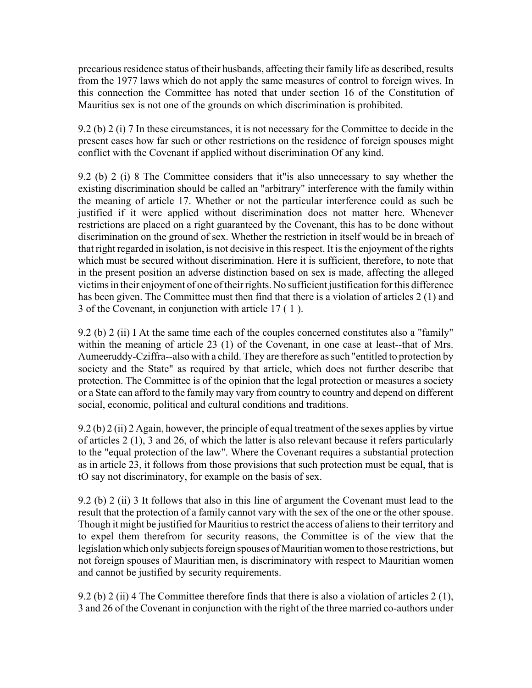precarious residence status of their husbands, affecting their family life as described, results from the 1977 laws which do not apply the same measures of control to foreign wives. In this connection the Committee has noted that under section 16 of the Constitution of Mauritius sex is not one of the grounds on which discrimination is prohibited.

9.2 (b) 2 (i) 7 In these circumstances, it is not necessary for the Committee to decide in the present cases how far such or other restrictions on the residence of foreign spouses might conflict with the Covenant if applied without discrimination Of any kind.

9.2 (b) 2 (i) 8 The Committee considers that it"is also unnecessary to say whether the existing discrimination should be called an "arbitrary" interference with the family within the meaning of article 17. Whether or not the particular interference could as such be justified if it were applied without discrimination does not matter here. Whenever restrictions are placed on a right guaranteed by the Covenant, this has to be done without discrimination on the ground of sex. Whether the restriction in itself would be in breach of that right regarded in isolation, is not decisive in this respect. It is the enjoyment of the rights which must be secured without discrimination. Here it is sufficient, therefore, to note that in the present position an adverse distinction based on sex is made, affecting the alleged victims in their enjoyment of one of their rights. No sufficient justification for this difference has been given. The Committee must then find that there is a violation of articles 2 (1) and 3 of the Covenant, in conjunction with article 17 ( 1 ).

9.2 (b) 2 (ii) I At the same time each of the couples concerned constitutes also a "family" within the meaning of article 23 (1) of the Covenant, in one case at least--that of Mrs. Aumeeruddy-Cziffra--also with a child. They are therefore as such "entitled to protection by society and the State" as required by that article, which does not further describe that protection. The Committee is of the opinion that the legal protection or measures a society or a State can afford to the family may vary from country to country and depend on different social, economic, political and cultural conditions and traditions.

9.2 (b) 2 (ii) 2 Again, however, the principle of equal treatment of the sexes applies by virtue of articles 2 (1), 3 and 26, of which the latter is also relevant because it refers particularly to the "equal protection of the law". Where the Covenant requires a substantial protection as in article 23, it follows from those provisions that such protection must be equal, that is tO say not discriminatory, for example on the basis of sex.

9.2 (b) 2 (ii) 3 It follows that also in this line of argument the Covenant must lead to the result that the protection of a family cannot vary with the sex of the one or the other spouse. Though it might be justified for Mauritius to restrict the access of aliens to their territory and to expel them therefrom for security reasons, the Committee is of the view that the legislation which only subjects foreign spouses of Mauritian women to those restrictions, but not foreign spouses of Mauritian men, is discriminatory with respect to Mauritian women and cannot be justified by security requirements.

9.2 (b) 2 (ii) 4 The Committee therefore finds that there is also a violation of articles 2 (1), 3 and 26 of the Covenant in conjunction with the right of the three married co-authors under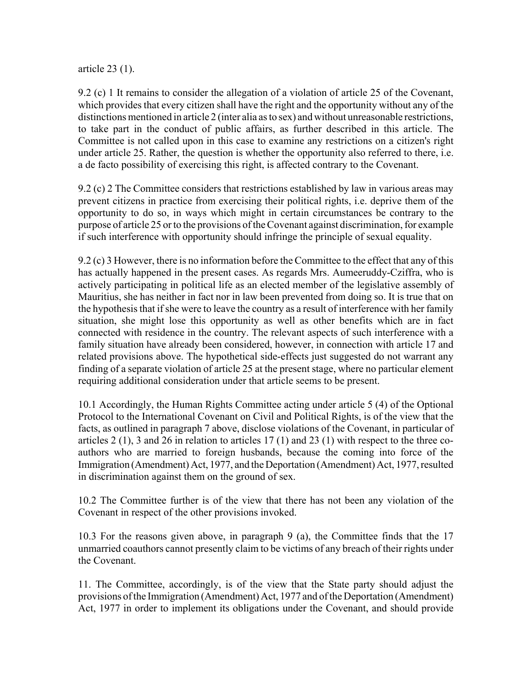article 23 (1).

9.2 (c) 1 It remains to consider the allegation of a violation of article 25 of the Covenant, which provides that every citizen shall have the right and the opportunity without any of the distinctions mentioned in article 2 (inter alia as to sex) and without unreasonable restrictions, to take part in the conduct of public affairs, as further described in this article. The Committee is not called upon in this case to examine any restrictions on a citizen's right under article 25. Rather, the question is whether the opportunity also referred to there, i.e. a de facto possibility of exercising this right, is affected contrary to the Covenant.

9.2 (c) 2 The Committee considers that restrictions established by law in various areas may prevent citizens in practice from exercising their political rights, i.e. deprive them of the opportunity to do so, in ways which might in certain circumstances be contrary to the purpose of article 25 or to the provisions of the Covenant against discrimination, for example if such interference with opportunity should infringe the principle of sexual equality.

9.2 (c) 3 However, there is no information before the Committee to the effect that any of this has actually happened in the present cases. As regards Mrs. Aumeeruddy-Cziffra, who is actively participating in political life as an elected member of the legislative assembly of Mauritius, she has neither in fact nor in law been prevented from doing so. It is true that on the hypothesis that if she were to leave the country as a result of interference with her family situation, she might lose this opportunity as well as other benefits which are in fact connected with residence in the country. The relevant aspects of such interference with a family situation have already been considered, however, in connection with article 17 and related provisions above. The hypothetical side-effects just suggested do not warrant any finding of a separate violation of article 25 at the present stage, where no particular element requiring additional consideration under that article seems to be present.

10.1 Accordingly, the Human Rights Committee acting under article 5 (4) of the Optional Protocol to the International Covenant on Civil and Political Rights, is of the view that the facts, as outlined in paragraph 7 above, disclose violations of the Covenant, in particular of articles 2 (1), 3 and 26 in relation to articles 17 (1) and 23 (1) with respect to the three coauthors who are married to foreign husbands, because the coming into force of the Immigration (Amendment) Act, 1977, and the Deportation (Amendment) Act, 1977, resulted in discrimination against them on the ground of sex.

10.2 The Committee further is of the view that there has not been any violation of the Covenant in respect of the other provisions invoked.

10.3 For the reasons given above, in paragraph 9 (a), the Committee finds that the 17 unmarried coauthors cannot presently claim to be victims of any breach of their rights under the Covenant.

11. The Committee, accordingly, is of the view that the State party should adjust the provisions of the Immigration (Amendment) Act, 1977 and of the Deportation (Amendment) Act, 1977 in order to implement its obligations under the Covenant, and should provide